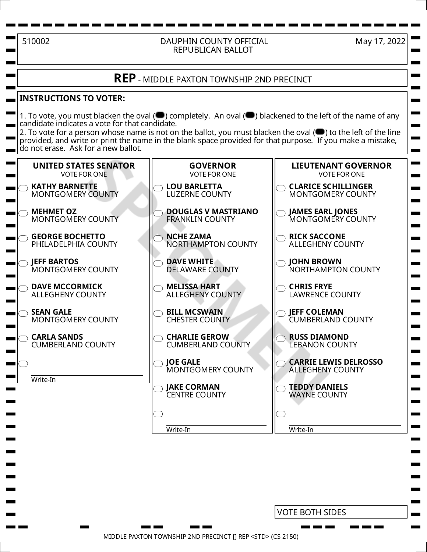## 510002 DAUPHIN COUNTY OFFICIAL REPUBLICAN BALLOT

May 17, 2022

## **REP** - MIDDLE PAXTON TOWNSHIP 2ND PRECINCT

## **INSTRUCTIONS TO VOTER:**

1. To vote, you must blacken the oval ( $\blacksquare$ ) completely. An oval ( $\blacksquare$ ) blackened to the left of the name of any candidate indicates a vote for that candidate.

2. To vote for a person whose name is not on the ballot, you must blacken the oval ( $\blacksquare$ ) to the left of the line provided, and write or print the name in the blank space provided for that purpose. If you make a mistake, do not erase. Ask for a new ballot.